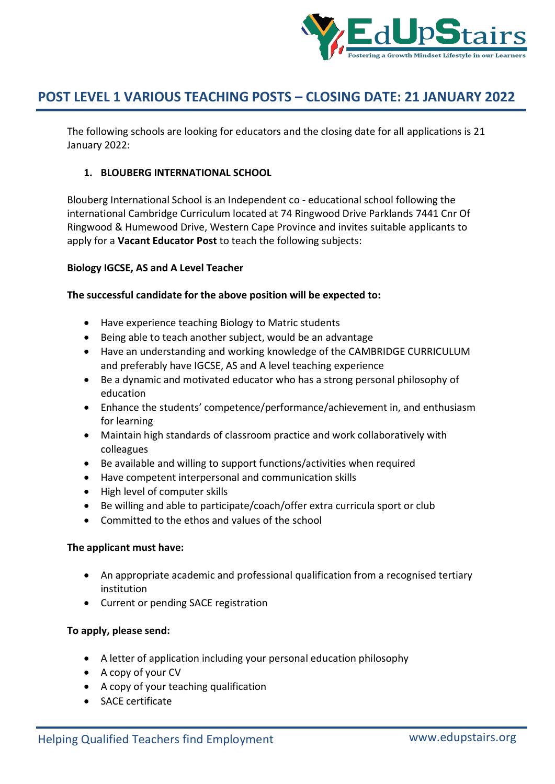

The following schools are looking for educators and the closing date for all applications is 21 January 2022:

## **1. BLOUBERG INTERNATIONAL SCHOOL**

Blouberg International School is an Independent co - educational school following the international Cambridge Curriculum located at 74 Ringwood Drive Parklands 7441 Cnr Of Ringwood & Humewood Drive, Western Cape Province and invites suitable applicants to apply for a **Vacant Educator Post** to teach the following subjects:

### **Biology IGCSE, AS and A Level Teacher**

### **The successful candidate for the above position will be expected to:**

- Have experience teaching Biology to Matric students
- Being able to teach another subject, would be an advantage
- Have an understanding and working knowledge of the CAMBRIDGE CURRICULUM and preferably have IGCSE, AS and A level teaching experience
- Be a dynamic and motivated educator who has a strong personal philosophy of education
- Enhance the students' competence/performance/achievement in, and enthusiasm for learning
- Maintain high standards of classroom practice and work collaboratively with colleagues
- Be available and willing to support functions/activities when required
- Have competent interpersonal and communication skills
- High level of computer skills
- Be willing and able to participate/coach/offer extra curricula sport or club
- Committed to the ethos and values of the school

### **The applicant must have:**

- An appropriate academic and professional qualification from a recognised tertiary institution
- Current or pending SACE registration

### **To apply, please send:**

- A letter of application including your personal education philosophy
- A copy of your CV
- A copy of your teaching qualification
- SACE certificate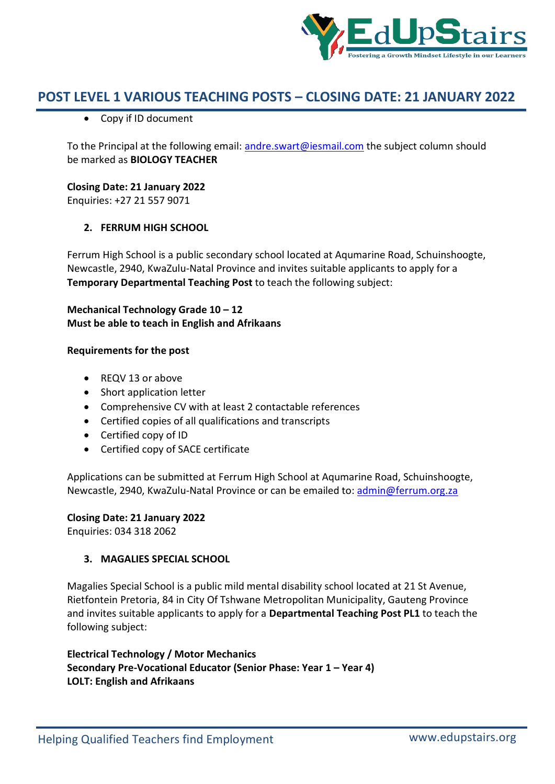

Copy if ID document

To the Principal at the following email: andre.swart@iesmail.com the subject column should be marked as **BIOLOGY TEACHER**

### **Closing Date: 21 January 2022**

Enquiries: +27 21 557 9071

### **2. FERRUM HIGH SCHOOL**

Ferrum High School is a public secondary school located at Aqumarine Road, Schuinshoogte, Newcastle, 2940, KwaZulu-Natal Province and invites suitable applicants to apply for a **Temporary Departmental Teaching Post** to teach the following subject:

## **Mechanical Technology Grade 10 – 12 Must be able to teach in English and Afrikaans**

### **Requirements for the post**

- REQV 13 or above
- Short application letter
- Comprehensive CV with at least 2 contactable references
- Certified copies of all qualifications and transcripts
- Certified copy of ID
- Certified copy of SACE certificate

Applications can be submitted at Ferrum High School at Aqumarine Road, Schuinshoogte, Newcastle, 2940, KwaZulu-Natal Province or can be emailed to: admin@ferrum.org.za

### **Closing Date: 21 January 2022**

Enquiries: 034 318 2062

### **3. MAGALIES SPECIAL SCHOOL**

Magalies Special School is a public mild mental disability school located at 21 St Avenue, Rietfontein Pretoria, 84 in City Of Tshwane Metropolitan Municipality, Gauteng Province and invites suitable applicants to apply for a **Departmental Teaching Post PL1** to teach the following subject:

**Electrical Technology / Motor Mechanics Secondary Pre-Vocational Educator (Senior Phase: Year 1 – Year 4) LOLT: English and Afrikaans**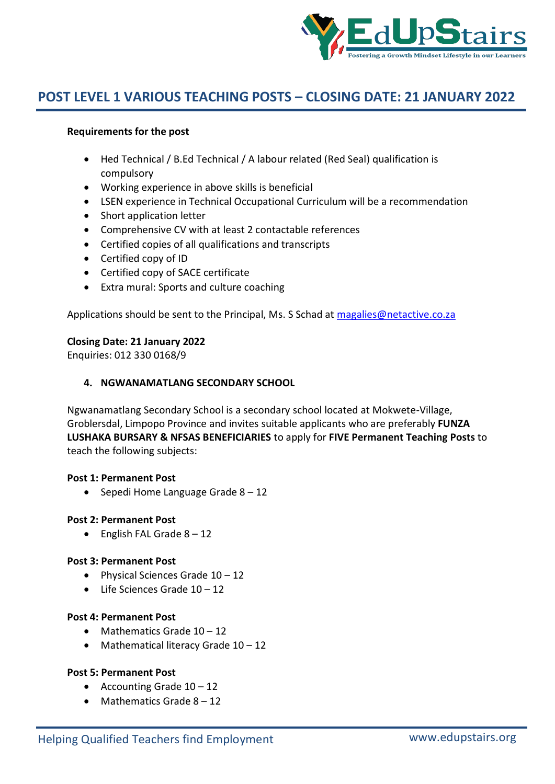

### **Requirements for the post**

- Hed Technical / B.Ed Technical / A labour related (Red Seal) qualification is compulsory
- Working experience in above skills is beneficial
- LSEN experience in Technical Occupational Curriculum will be a recommendation
- Short application letter
- Comprehensive CV with at least 2 contactable references
- Certified copies of all qualifications and transcripts
- Certified copy of ID
- Certified copy of SACE certificate
- Extra mural: Sports and culture coaching

Applications should be sent to the Principal, Ms. S Schad at magalies@netactive.co.za

### **Closing Date: 21 January 2022**

Enquiries: 012 330 0168/9

### **4. NGWANAMATLANG SECONDARY SCHOOL**

Ngwanamatlang Secondary School is a secondary school located at Mokwete-Village, Groblersdal, Limpopo Province and invites suitable applicants who are preferably **FUNZA LUSHAKA BURSARY & NFSAS BENEFICIARIES** to apply for **FIVE Permanent Teaching Posts** to teach the following subjects:

### **Post 1: Permanent Post**

• Sepedi Home Language Grade  $8 - 12$ 

### **Post 2: Permanent Post**

 $\bullet$  English FAL Grade  $8 - 12$ 

### **Post 3: Permanent Post**

- Physical Sciences Grade  $10 12$
- Life Sciences Grade 10 12

### **Post 4: Permanent Post**

- $\bullet$  Mathematics Grade  $10 12$
- Mathematical literacy Grade  $10 12$

### **Post 5: Permanent Post**

- Accounting Grade  $10 12$
- $\bullet$  Mathematics Grade  $8 12$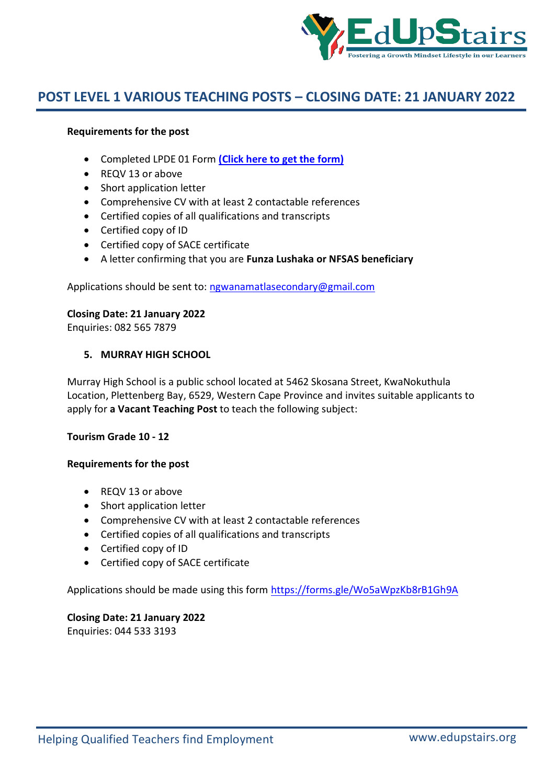

### **Requirements for the post**

- Completed LPDE 01 Form **(Click here to get the form)**
- REQV 13 or above
- Short application letter
- Comprehensive CV with at least 2 contactable references
- Certified copies of all qualifications and transcripts
- Certified copy of ID
- Certified copy of SACE certificate
- A letter confirming that you are **Funza Lushaka or NFSAS beneficiary**

Applications should be sent to: ngwanamatlasecondary@gmail.com

## **Closing Date: 21 January 2022**

Enquiries: 082 565 7879

### **5. MURRAY HIGH SCHOOL**

Murray High School is a public school located at 5462 Skosana Street, KwaNokuthula Location, Plettenberg Bay, 6529, Western Cape Province and invites suitable applicants to apply for **a Vacant Teaching Post** to teach the following subject:

### **Tourism Grade 10 - 12**

### **Requirements for the post**

- REQV 13 or above
- Short application letter
- Comprehensive CV with at least 2 contactable references
- Certified copies of all qualifications and transcripts
- Certified copy of ID
- Certified copy of SACE certificate

Applications should be made using this form https://forms.gle/Wo5aWpzKb8rB1Gh9A

# **Closing Date: 21 January 2022**

Enquiries: 044 533 3193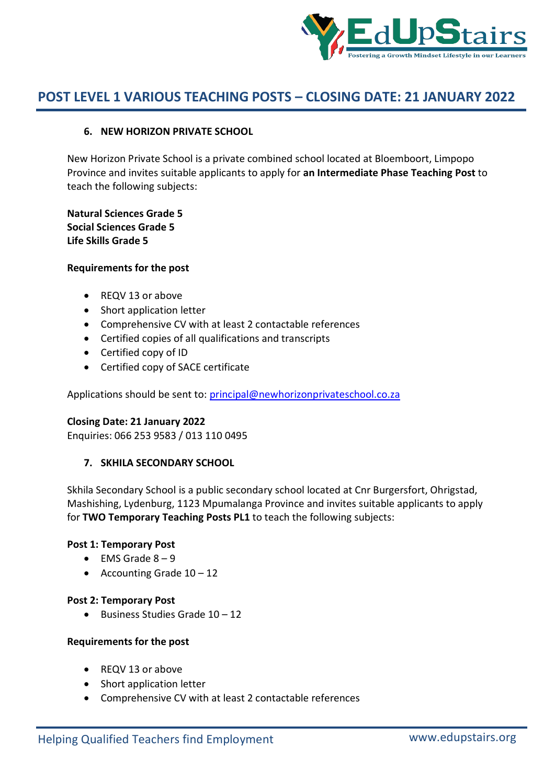

### **6. NEW HORIZON PRIVATE SCHOOL**

New Horizon Private School is a private combined school located at Bloemboort, Limpopo Province and invites suitable applicants to apply for **an Intermediate Phase Teaching Post** to teach the following subjects:

**Natural Sciences Grade 5 Social Sciences Grade 5 Life Skills Grade 5**

### **Requirements for the post**

- REQV 13 or above
- Short application letter
- Comprehensive CV with at least 2 contactable references
- Certified copies of all qualifications and transcripts
- Certified copy of ID
- Certified copy of SACE certificate

Applications should be sent to: principal@newhorizonprivateschool.co.za

### **Closing Date: 21 January 2022**

Enquiries: 066 253 9583 / 013 110 0495

### **7. SKHILA SECONDARY SCHOOL**

Skhila Secondary School is a public secondary school located at Cnr Burgersfort, Ohrigstad, Mashishing, Lydenburg, 1123 Mpumalanga Province and invites suitable applicants to apply for **TWO Temporary Teaching Posts PL1** to teach the following subjects:

### **Post 1: Temporary Post**

- $\bullet$  EMS Grade  $8-9$
- Accounting Grade  $10 12$

### **Post 2: Temporary Post**

 $\bullet$  Business Studies Grade 10 – 12

### **Requirements for the post**

- REQV 13 or above
- Short application letter
- Comprehensive CV with at least 2 contactable references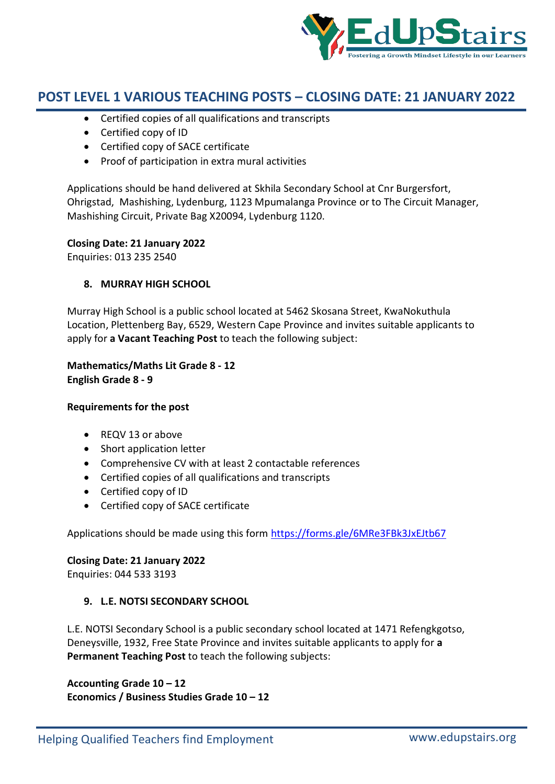

- Certified copies of all qualifications and transcripts
- Certified copy of ID
- Certified copy of SACE certificate
- Proof of participation in extra mural activities

Applications should be hand delivered at Skhila Secondary School at Cnr Burgersfort, Ohrigstad, Mashishing, Lydenburg, 1123 Mpumalanga Province or to The Circuit Manager, Mashishing Circuit, Private Bag X20094, Lydenburg 1120.

### **Closing Date: 21 January 2022**

Enquiries: 013 235 2540

## **8. MURRAY HIGH SCHOOL**

Murray High School is a public school located at 5462 Skosana Street, KwaNokuthula Location, Plettenberg Bay, 6529, Western Cape Province and invites suitable applicants to apply for **a Vacant Teaching Post** to teach the following subject:

**Mathematics/Maths Lit Grade 8 - 12 English Grade 8 - 9**

### **Requirements for the post**

- REQV 13 or above
- Short application letter
- Comprehensive CV with at least 2 contactable references
- Certified copies of all qualifications and transcripts
- Certified copy of ID
- Certified copy of SACE certificate

Applications should be made using this form https://forms.gle/6MRe3FBk3JxEJtb67

### **Closing Date: 21 January 2022**

Enquiries: 044 533 3193

### **9. L.E. NOTSI SECONDARY SCHOOL**

L.E. NOTSI Secondary School is a public secondary school located at 1471 Refengkgotso, Deneysville, 1932, Free State Province and invites suitable applicants to apply for **a Permanent Teaching Post** to teach the following subjects:

**Accounting Grade 10 – 12 Economics / Business Studies Grade 10 – 12**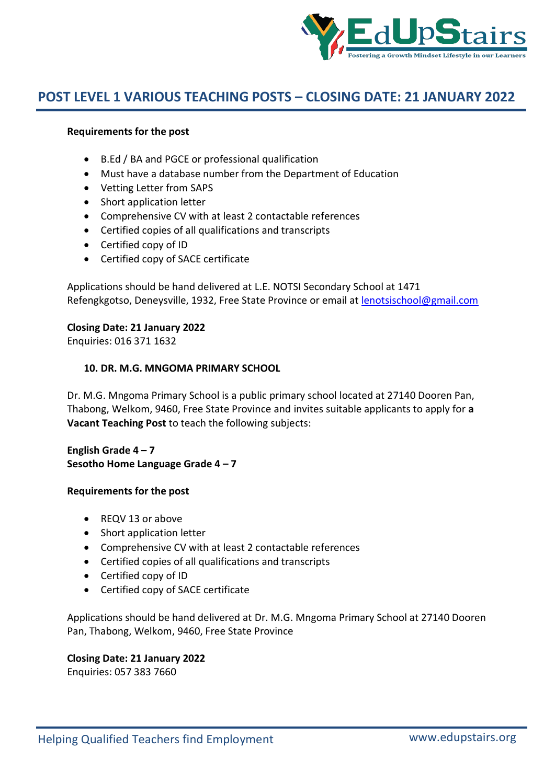

### **Requirements for the post**

- B.Ed / BA and PGCE or professional qualification
- Must have a database number from the Department of Education
- Vetting Letter from SAPS
- Short application letter
- Comprehensive CV with at least 2 contactable references
- Certified copies of all qualifications and transcripts
- Certified copy of ID
- Certified copy of SACE certificate

Applications should be hand delivered at L.E. NOTSI Secondary School at 1471 Refengkgotso, Deneysville, 1932, Free State Province or email at lenotsischool@gmail.com

### **Closing Date: 21 January 2022**

Enquiries: 016 371 1632

### **10. DR. M.G. MNGOMA PRIMARY SCHOOL**

Dr. M.G. Mngoma Primary School is a public primary school located at 27140 Dooren Pan, Thabong, Welkom, 9460, Free State Province and invites suitable applicants to apply for **a Vacant Teaching Post** to teach the following subjects:

**English Grade 4 – 7 Sesotho Home Language Grade 4 – 7**

### **Requirements for the post**

- REQV 13 or above
- Short application letter
- Comprehensive CV with at least 2 contactable references
- Certified copies of all qualifications and transcripts
- Certified copy of ID
- Certified copy of SACE certificate

Applications should be hand delivered at Dr. M.G. Mngoma Primary School at 27140 Dooren Pan, Thabong, Welkom, 9460, Free State Province

## **Closing Date: 21 January 2022**

Enquiries: 057 383 7660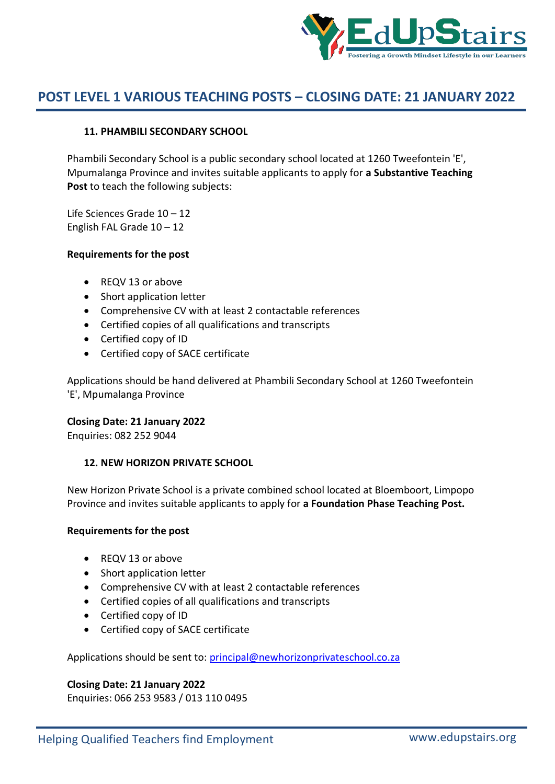

## **11. PHAMBILI SECONDARY SCHOOL**

Phambili Secondary School is a public secondary school located at 1260 Tweefontein 'E', Mpumalanga Province and invites suitable applicants to apply for **a Substantive Teaching Post** to teach the following subjects:

Life Sciences Grade 10 – 12 English FAL Grade  $10 - 12$ 

### **Requirements for the post**

- REQV 13 or above
- Short application letter
- Comprehensive CV with at least 2 contactable references
- Certified copies of all qualifications and transcripts
- Certified copy of ID
- Certified copy of SACE certificate

Applications should be hand delivered at Phambili Secondary School at 1260 Tweefontein 'E', Mpumalanga Province

### **Closing Date: 21 January 2022**

Enquiries: 082 252 9044

### **12. NEW HORIZON PRIVATE SCHOOL**

New Horizon Private School is a private combined school located at Bloemboort, Limpopo Province and invites suitable applicants to apply for **a Foundation Phase Teaching Post.**

### **Requirements for the post**

- REQV 13 or above
- Short application letter
- Comprehensive CV with at least 2 contactable references
- Certified copies of all qualifications and transcripts
- Certified copy of ID
- Certified copy of SACE certificate

Applications should be sent to: principal@newhorizonprivateschool.co.za

## **Closing Date: 21 January 2022**

Enquiries: 066 253 9583 / 013 110 0495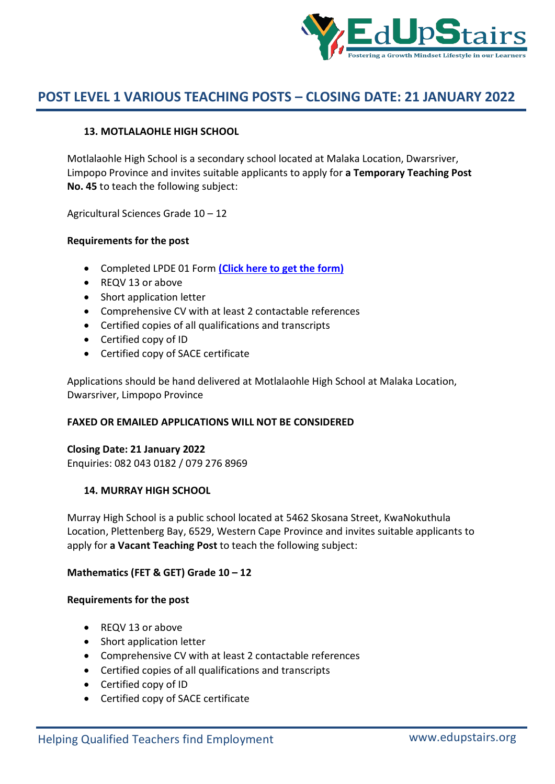

## **13. MOTLALAOHLE HIGH SCHOOL**

Motlalaohle High School is a secondary school located at Malaka Location, Dwarsriver, Limpopo Province and invites suitable applicants to apply for **a Temporary Teaching Post No. 45** to teach the following subject:

Agricultural Sciences Grade 10 – 12

### **Requirements for the post**

- Completed LPDE 01 Form **(Click here to get the form)**
- REQV 13 or above
- Short application letter
- Comprehensive CV with at least 2 contactable references
- Certified copies of all qualifications and transcripts
- Certified copy of ID
- Certified copy of SACE certificate

Applications should be hand delivered at Motlalaohle High School at Malaka Location, Dwarsriver, Limpopo Province

## **FAXED OR EMAILED APPLICATIONS WILL NOT BE CONSIDERED**

### **Closing Date: 21 January 2022**

Enquiries: 082 043 0182 / 079 276 8969

### **14. MURRAY HIGH SCHOOL**

Murray High School is a public school located at 5462 Skosana Street, KwaNokuthula Location, Plettenberg Bay, 6529, Western Cape Province and invites suitable applicants to apply for **a Vacant Teaching Post** to teach the following subject:

### **Mathematics (FET & GET) Grade 10 – 12**

### **Requirements for the post**

- REQV 13 or above
- Short application letter
- Comprehensive CV with at least 2 contactable references
- Certified copies of all qualifications and transcripts
- Certified copy of ID
- Certified copy of SACE certificate